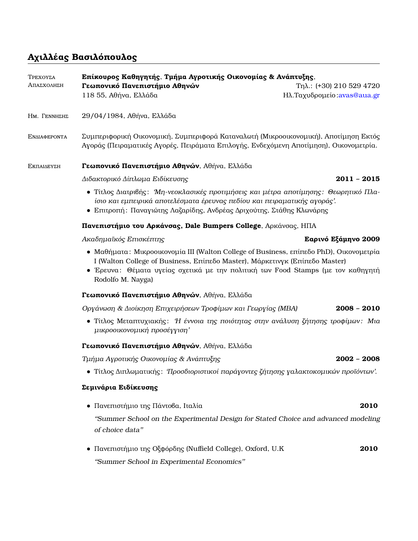# **Αχιλλέας Βασιλόπουλος**

| ΤΡΕΧΟΥΣΑ<br>ΑΠΑΣΧΟΛΗΣΗ | Επίκουρος Καθηγητής, Τμήμα Αγροτικής Οικονομίας & Ανάπτυξης,                                                                                                                                                                                                                   |                                                            |  |
|------------------------|--------------------------------------------------------------------------------------------------------------------------------------------------------------------------------------------------------------------------------------------------------------------------------|------------------------------------------------------------|--|
|                        | Γεωπονικό Πανεπιστήμιο Αθηνών<br>118 55, Αθήνα, Ελλάδα                                                                                                                                                                                                                         | Tηλ.: $(+30)$ 210 529 4720<br>Hλ. Ταχυδρομείο: avas@aua.gr |  |
| HM. <b>ΓΕΝΝΗΣΗΣ</b>    | 29/04/1984, Αθήνα, Ελλάδα                                                                                                                                                                                                                                                      |                                                            |  |
| ΕΝΔΙΑΦΕΡΟΝΤΑ           | Συμπεριφορική Οικονομική, Συμπεριφορά Καταναλωτή (Μικροοικονομική), Αποτίμηση Εκτός<br>Αγοράς (Πειραματικές Αγορές, Πειράματα Επιλογής, Ενδεχόμενη Αποτίμηση), Οικονομετρία.                                                                                                   |                                                            |  |
| ΕΚΠΑΙΔΕΥΣΗ             | Γεωπονικό Πανεπιστήμιο Αθηνών, Αθήνα, Ελλάδα                                                                                                                                                                                                                                   |                                                            |  |
|                        | Διδακτορικό Δίπλωμα Ειδίκευσης                                                                                                                                                                                                                                                 | $2011 - 2015$                                              |  |
|                        | • Τίτλος Διατριβής: Μη-νεοκλασικές προτιμήσεις και μέτρα αποτίμησης: Θεωρητικό Πλα-<br>ίσιο και εμπειρικά αποτελέσματα έρευνας πεδίου και πειραματικής αγοράς'.<br>• Επιτροπή: Παναγιώτης Λαζαρίδης, Ανδρέας Δριχούτης, Στάθης Κλωνάρης                                        |                                                            |  |
|                        | Πανεπιστήμιο του Αρκάνσας, Dale Bumpers College, Αρκάνσας, ΗΠΑ                                                                                                                                                                                                                 |                                                            |  |
|                        | Ακαδημαϊκός Επισκέπτης                                                                                                                                                                                                                                                         | Εαρινό Εξάμηνο 2009                                        |  |
|                        | • Μαθήματα: Μικροοικονομία III (Walton College of Business, επίπεδο PhD), Οικονομετρία<br>I (Walton College of Business, Επίπεδο Master), Μάρκετινγκ (Επίπεδο Master)<br>• Έρευνα: Θέματα υγείας σχετικά με την πολιτική των Food Stamps (με τον καθηγητή<br>Rodolfo M. Nayga) |                                                            |  |
|                        | Γεωπονικό Πανεπιστήμιο Αθηνών, Αθήνα, Ελλάδα                                                                                                                                                                                                                                   |                                                            |  |
|                        | Οργάνωση & Διοίκηση Επιχειρήσεων Τροφίμων και Γεωργίας (MBA)                                                                                                                                                                                                                   | $2008 - 2010$                                              |  |
|                        | • Τίτλος Μεταπτυχιακής: Η έννοια της ποιότητας στην ανάλυση ζήτησης τροφίμων: Μια<br>μικροοικονομική προσέγγιση'                                                                                                                                                               |                                                            |  |
|                        | Γεωπονικό Πανεπιστήμιο Αθηνών, Αθήνα, Ελλάδα                                                                                                                                                                                                                                   |                                                            |  |
|                        | Τμήμα Αγροτικής Οικονομίας & Ανάπτυξης                                                                                                                                                                                                                                         | $2002 - 2008$                                              |  |
|                        | • Τίτλος Διπλωματικής: Προσδιοριστικοί παράγοντες ζήτησης γαλακτοκομικών προϊόντων'.                                                                                                                                                                                           |                                                            |  |
|                        | Σεμινάρια Ειδίκευσης                                                                                                                                                                                                                                                           |                                                            |  |
|                        | • Πανεπιστήμιο της Πάντοβα, Ιταλία                                                                                                                                                                                                                                             | 2010                                                       |  |
|                        | "Summer School on the Experimental Design for Stated Choice and advanced modeling<br>of choice data"                                                                                                                                                                           |                                                            |  |
|                        | · Πανεπιστήμιο της Οξφόρδης (Nuffield College), Oxford, U.K                                                                                                                                                                                                                    | 2010                                                       |  |

''Summer School in Experimental Economics''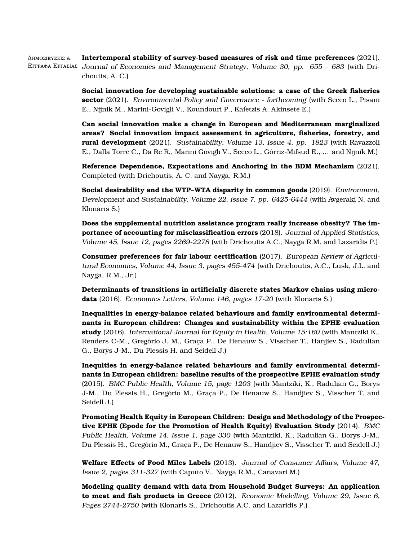∆ηµοσιευσεις & Εγγραφα Εργασιας Journal of Economics and Management Strategy, Volume 30, pp. 655 – 683 (with Dri-**Intertemporal stability of survey-based measures of risk and time preferences** (2021). choutis, A. C.)

> **Social innovation for developing sustainable solutions: a case of the Greek fisheries sector** (2021). Environmental Policy and Governance - forthcoming (with Secco L., Pisani E., Nijnik M., Marini-Govigli V., Koundouri P., Kafetzis A. Akinsete E.)

> **Can social innovation make a change in European and Mediterranean marginalized areas? Social innovation impact assessment in agriculture, fisheries, forestry, and rural development** (2021). Sustainability, Volume 13, issue 4, pp. 1823 (with Ravazzoli E., Dalla Torre C., Da Re R., Marini Govigli V., Secco L., Gorriz-Mifsud E., ... and Nijnik M.) ´

> **Reference Dependence, Expectations and Anchoring in the BDM Mechanism** (2021). Completed (with Drichoutis, A. C. and Nayga, R.M.)

> **Social desirability and the WTP–WTA disparity in common goods** (2019). Environment, Development and Sustainability, Volume 22, issue 7, pp. 6425-6444 (with Avgeraki N. and Klonaris S.)

> **Does the supplemental nutrition assistance program really increase obesity? The importance of accounting for misclassification errors** (2018). Journal of Applied Statistics, Volume 45, Issue 12, pages 2269-2278 (with Drichoutis A.C., Nayga R.M. and Lazaridis P.)

> **Consumer preferences for fair labour certification** (2017). European Review of Agricultural Economics, Volume 44, Issue 3, pages 455-474 (with Drichoutis, A.C., Lusk, J.L. and Nayga, R.M., Jr.)

> **Determinants of transitions in artificially discrete states Markov chains using microdata** (2016). Economics Letters, Volume 146, pages 17-20 (with Klonaris S.)

> **Inequalities in energy-balance related behaviours and family environmental determinants in European children: Changes and sustainability within the EPHE evaluation study** (2016). International Journal for Equity in Health, Volume 15:160 (with Mantziki K., Renders C-M., Gregório J. M., Graça P., De Henauw S., Visscher T., Hanjiev S., Radulian G., Borys J-M., Du Plessis H. and Seidell J.)

> **Inequities in energy-balance related behaviours and family environmental determinants in European children: baseline results of the prospective EPHE evaluation study** (2015). BMC Public Health, Volume 15, page 1203 (with Mantziki, K., Radulian G., Borys J-M., Du Plessis H., Gregório M., Graça P., De Henauw S., Handjiev S., Visscher T. and Seidell J.)

**Promoting Health Equity in European Children: Design and Methodology of the Prospective EPHE (Epode for the Promotion of Health Equity) Evaluation Study** (2014). BMC Public Health, Volume 14, Issue 1, page 330 (with Mantziki, K., Radulian G., Borys J-M., Du Plessis H., Gregório M., Graça P., De Henauw S., Handjiev S., Visscher T. and Seidell J.)

**Welfare Effects of Food Miles Labels** (2013). Journal of Consumer Affairs, Volume 47, Issue 2, pages 311-327 (with Caputo V., Nayga R.M., Canavari M.)

**Modeling quality demand with data from Household Budget Surveys: An application to meat and fish products in Greece** (2012). Economic Modelling, Volume 29, Issue 6, Pages 2744-2750 (with Klonaris S., Drichoutis A.C. and Lazaridis P.)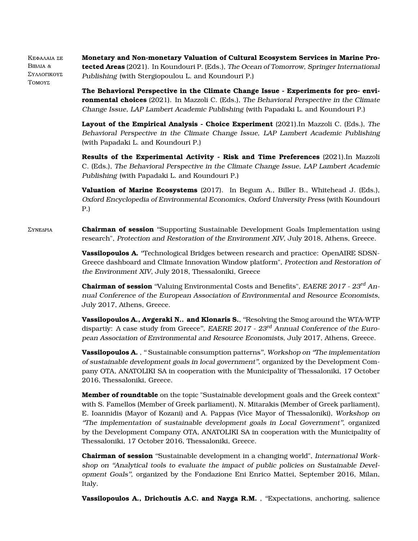Κεφαλαια ΣΕ Βιβλια & ΣΥΛΛΟΓΙΚΟΥΣ ΤοΜΟΥΣ **Monetary and Non-monetary Valuation of Cultural Ecosystem Services in Marine Protected Areas** (2021). In Koundouri P. (Eds.), The Ocean of Tomorrow, Springer International Publishing (with Stergiopoulou L. and Koundouri P.)

> **The Behavioral Perspective in the Climate Change Issue - Experiments for pro- environmental choices** (2021). In Mazzoli C. (Eds.), The Behavioral Perspective in the Climate Change Issue, LAP Lambert Academic Publishing (with Papadaki L. and Koundouri P.)

> **Layout of the Empirical Analysis - Choice Experiment** (2021).In Mazzoli C. (Eds.), The Behavioral Perspective in the Climate Change Issue, LAP Lambert Academic Publishing (with Papadaki L. and Koundouri P.)

> **Results of the Experimental Activity - Risk and Time Preferences** (2021).In Mazzoli C. (Eds.), The Behavioral Perspective in the Climate Change Issue, LAP Lambert Academic Publishing (with Papadaki L. and Koundouri P.)

> **Valuation of Marine Ecosystems** (2017). In Begum A., Biller B., Whitehead J. (Eds.), Oxford Encyclopedia of Environmental Economics, Oxford University Press (with Koundouri P.)

Συνεδρια **Chairman of session** ''Supporting Sustainable Development Goals Implementation using research", Protection and Restoration of the Environment XIV, July 2018, Athens, Greece.

> **Vassilopoulos A.** ''Technological Bridges between research and practice: OpenAIRE SDSN-Greece dashboard and Climate Innovation Window platform", Protection and Restoration of the Environment XIV, July 2018, Thessaloniki, Greece

> **Chairman of session** "Valuing Environmental Costs and Benefits", EAERE 2017 - 23<sup>rd</sup> Annual Conference of the European Association of Environmental and Resource Economists, July 2017, Athens, Greece.

> **Vassilopoulos A., Avgeraki N.. and Klonaris S.**, ''Resolving the Smog around the WTA-WTP dispartiy: A case study from Greece", EAERE 2017 - 23<sup>rd</sup> Annual Conference of the European Association of Environmental and Resource Economists, July 2017, Athens, Greece.

> Vassilopoulos A., "Sustainable consumption patterns", Workshop on "The implementation of sustainable development goals in local government'', organized by the Development Company OTA, ANATOLIKI SA in cooperation with the Municipality of Thessaloniki, 17 October 2016, Thessaloniki, Greece.

> **Member of roundtable** on the topic "Sustainable development goals and the Greek context" with S. Famellos (Member of Greek parliament), N. Mitarakis (Member of Greek parliament), E. Ioannidis (Mayor of Kozani) and A. Pappas (Vice Mayor of Thessaloniki), Workshop on ''The implementation of sustainable development goals in Local Government'', organized by the Development Company OTA, ANATOLIKI SA in cooperation with the Municipality of Thessaloniki, 17 October 2016, Thessaloniki, Greece.

> **Chairman of session** ''Sustainable development in a changing world", International Workshop on ''Analytical tools to evaluate the impact of public policies on Sustainable Development Goals'', organized by the Fondazione Eni Enrico Mattei, September 2016, Milan, Italy.

> **Vassilopoulos A., Drichoutis A.C. and Nayga R.M.** , ''Expectations, anchoring, salience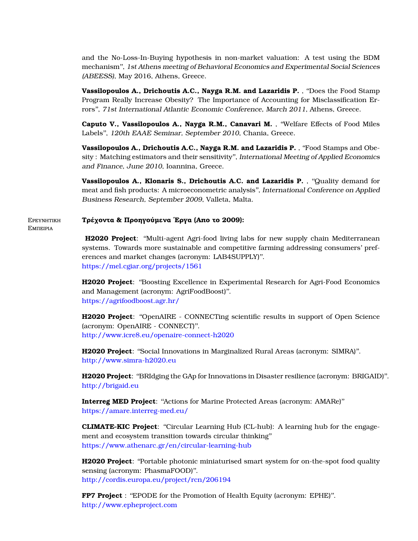and the No-Loss-In-Buying hypothesis in non-market valuation: A test using the BDM mechanism'', 1st Athens meeting of Behavioral Economics and Experimental Social Sciences (ABEESS), May 2016, Athens, Greece.

**Vassilopoulos A., Drichoutis A.C., Nayga R.M. and Lazaridis P.** , ''Does the Food Stamp Program Really Increase Obesity? The Importance of Accounting for Misclassification Errors'', 71st International Atlantic Economic Conference, March 2011, Athens, Greece.

**Caputo V., Vassilopoulos A., Nayga R.M., Canavari M.** , ''Welfare Effects of Food Miles Labels'', 120th EAAE Seminar, September 2010, Chania, Greece.

**Vassilopoulos A., Drichoutis A.C., Nayga R.M. and Lazaridis P.** , ''Food Stamps and Obesity : Matching estimators and their sensitivity'', International Meeting of Applied Economics and Finance, June 2010, Ioannina, Greece.

**Vassilopoulos A., Klonaris S., Drichoutis A.C. and Lazaridis P.** , ''Quality demand for meat and fish products: A microeconometric analysis'', International Conference on Applied Business Research, September 2009, Valleta, Malta.

#### Ερευνητικη **Τρέχοντα & Προηγούµενα ΄Εργα (Απο το 2009):**

Εµπειρια

## **H2020 Project**: ''Multi-agent Agri-food living labs for new supply chain Mediterranean systems. Towards more sustainable and competitive farming addressing consumers' preferences and market changes (acronym: LAB4SUPPLY)''. <https://mel.cgiar.org/projects/1561>

**H2020 Project**: ''Boosting Excellence in Experimental Research for Agri-Food Economics and Management (acronym: AgriFoodBoost)''. <https://agrifoodboost.agr.hr/>

**H2020 Project**: ''OpenAIRE - CONNECTing scientific results in support of Open Science (acronym: OpenAIRE - CONNECT)''. <http://www.icre8.eu/openaire-connect-h2020>

**H2020 Project**: ''Social Innovations in Marginalized Rural Areas (acronym: SIMRA)''. <http://www.simra-h2020.eu>

**H2020 Project**: ''BRIdging the GAp for Innovations in Disaster resilience (acronym: BRIGAID)''. <http://brigaid.eu>

**Interreg MED Project**: ''Actions for Marine Protected Areas (acronym: AMARe)'' <https://amare.interreg-med.eu/>

**CLIMATE-KIC Project**: ''Circular Learning Hub (CL-hub): A learning hub for the engagement and ecosystem transition towards circular thinking'' [https://www.athenarc.gr/en/circular-learning-hub](https://www.athenarc.gr/en/circular-learning-hub-cl-hub-learning-hub-engagement-and-ecosystem-transition-towards-circular)

**H2020 Project**: "Portable photonic miniaturised smart system for on-the-spot food quality sensing (acronym: PhasmaFOOD)''. <http://cordis.europa.eu/project/rcn/206194>

**FP7 Project** : ''EPODE for the Promotion of Health Equity (acronym: EPHE)''. <http://www.epheproject.com>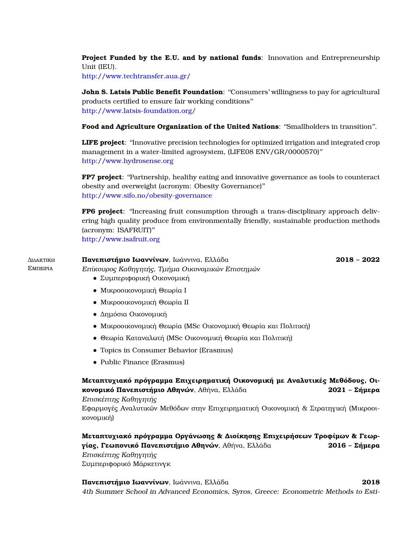**Project Funded by the E.U. and by national funds**: Innovation and Entrepreneurship Unit (IEU).

<http://www.techtransfer.aua.gr/>

**John S. Latsis Public Benefit Foundation**: "Consumers' willingness to pay for agricultural products certified to ensure fair working conditions'' [http://www.latsis-foundation.org/](http://www.latsis-foundation.org/eng/education-science-culture/science/grants/scientific-projects/2014/consumers-willingness-to-pay-for-agricultural-products-certified-to-ensure-fair-working-conditions-)

**Food and Agriculture Organization of the United Nations**: ''Smallholders in transition''.

**LIFE project**: ''Innovative precision technologies for optimized irrigation and integrated crop management in a water-limited agrosystem, (LIFE08 ENV/GR/0000570)'' <http://www.hydrosense.org>

**FP7 project**: "Partnership, healthy eating and innovative governance as tools to counteract obesity and overweight (acronym: Obesity Governance)'' <http://www.sifo.no/obesity-governance>

**FP6 project**: ''Increasing fruit consumption through a trans-disciplinary approach delivering high quality produce from environmentally friendly, sustainable production methods (acronym: ISAFRUIT)''

<http://www.isafruit.org>

#### ∆ιδακτικη ΕΜΠΕΙΡΙΑ **Πανεπιστήµιο Ιωαννίνων**, Ιωάννινα, Ελλάδα **2018 – 2022**

- Επίκουρος Καθηγητής, Τµήµα Οικονοµικών Επιστηµών
	- Συµπεριφορική Οικονοµική
	- Μικροοικονοµική Θεωρία Ι
	- Μικροοικονοµική Θεωρία ΙΙ
	- ∆ηµόσια Οικονοµική
	- Μικροοικονοµική Θεωρία (MSc Οικονοµική Θεωρία και Πολιτική)
	- Θεωρία Καταναλωτή (MSc Οικονοµική Θεωρία και Πολιτική)
	- Topics in Consumer Behavior (Erasmus)
	- Public Finance (Erasmus)

**Μεταπτυχιακό πρόγραµµα Επιχειρηµατική Οικονοµική µε Αναλυτικές Μεθόδους, Οικονοµικό Πανεπιστήµιο Αθηνών**, Αθήνα, Ελλάδα **2021 – Σήµερα**

Επισκέπτης Καθηγητής

Εφαρµογές Αναλυτικών Μεθόδων στην Επιχειρηµατική Οικονοµική & Στρατηγική (Μικροοικονοµική)

**Μεταπτυχιακό πρόγραµµα Οργάνωσης & ∆ιοίκησης Επιχειρήσεων Τροφίµων & Γεωργίας, Γεωπονικό Πανεπιστήµιο Αθηνών**, Αθήνα, Ελλάδα **2016 – Σήµερα** Επισκέπτης Καθηγητής Συµπεριφορικό Μάρκετινγκ

**Πανεπιστήµιο Ιωαννίνων**, Ιωάννινα, Ελλάδα **2018** 4th Summer School in Advanced Economics, Syros, Greece: Econometric Methods to Esti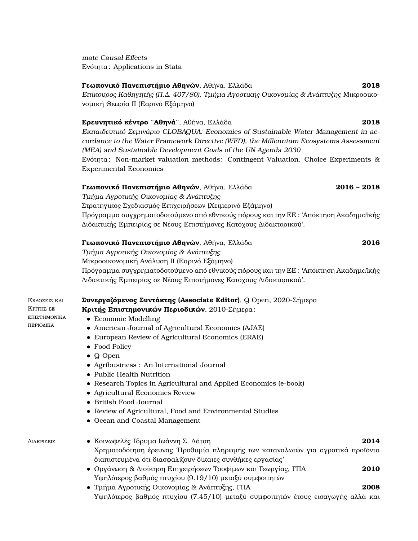mate Causal Effects Ενότητα : Applications in Stata

## **Γεωπονικό Πανεπιστήµιο Αθηνών**, Αθήνα, Ελλάδα **2018**

Επίκουρος Καθηγητής (Π.∆. 407/80), Τµήµα Αγροτικής Οικονοµίας & Ανάπτυξης Μικροοικονοµική Θεωρία ΙΙ (Εαρινό Εξάµηνο)

## **Ερευνητικό κέντρο ¨Αθηνά¨**, Αθήνα, Ελλάδα **2018**

Εκπαιδευτικό Σεµινάριο CLOBAQUA: Economics of Sustainable Water Management in accordance to the Water Framework Directive (WFD), the Millennium Ecosystems Assessment (MEA) and Sustainable Development Goals of the UN Agenda 2030 Ενότητα : Non-market valuation methods: Contingent Valuation, Choice Experiments & Experimental Economics

## **Γεωπονικό Πανεπιστήµιο Αθηνών**, Αθήνα, Ελλάδα **2016 – 2018** Τµήµα Αγροτικής Οικονοµίας & Ανάπτυξης Στρατηγικός Σχεδιασµός Επιχειρήσεων (Χειµερινό Εξάµηνο)

Πρόγραµµα συγχρηµατοδοτούµενο από εθνικούς πόρους και την ΕΕ : 'Απόκτηση Ακαδηµαϊκής ∆ιδακτικής Εµπειρίας σε Νέους Επιστήµονες Κατόχους ∆ιδακτορικού'.

#### **Γεωπονικό Πανεπιστήµιο Αθηνών**, Αθήνα, Ελλάδα **2016**

Τµήµα Αγροτικής Οικονοµίας & Ανάπτυξης

Μικροοικονοµική Ανάλυση ΙΙ (Εαρινό Εξάµηνο)

Πρόγραµµα συγχρηµατοδοτούµενο από εθνικούς πόρους και την ΕΕ : 'Απόκτηση Ακαδηµαϊκής ∆ιδακτικής Εµπειρίας σε Νέους Επιστήµονες Κατόχους ∆ιδακτορικού'.

#### Εκδοσεις και **Συνεργαζόµενος Συντάκτης (Associate Editor)**, Q Open, 2020-Σήµερα

**Κριτής Επιστηµονικών Περιοδικών**, 2010-Σήµερα :

- Economic Modelling
- American Journal of Agricultural Economics (AJAE)
- European Review of Agricultural Economics (ERAE)
- Food Policy
- Q-Open
- Agribusiness : An International Journal
- Public Health Nutrition
- Research Topics in Agricultural and Applied Economics (e-book)
- Agricultural Economics Review
- British Food Journal
- Review of Agricultural, Food and Environmental Studies
- Ocean and Coastal Management

ΚριτhΣ ΣΕ ΕΠΙΣΤΗΜΟΝΙΚΑ περιοδικα

- ∆ιακρισεις Κοινωφελές ΄Ιδρυµα Ιωάννη Σ. Λάτση **2014** Χρηµατοδότηση έρευνας 'Προθυµία πληρωµής των καταναλωτών για αγροτικά προϊόντα διαπιστευµένα ότι διασφαλίζουν δίκαιες συνθήκες εργασίας'
	- Οργάνωση & ∆ιοίκηση Επιχειρήσεων Τροφίµων και Γεωργίας, ΓΠΑ **2010** Υψηλότερος ϐαθµός πτυχίου (9.19/10) µεταξύ συµφοιτητών
	- Τµήµα Αγροτικής Οικονοµίας & Ανάπτυξης, ΓΠΑ **2008** Υψηλότερος ϐαθµός πτυχίου (7.45/10) µεταξύ συµφοιτητών έτους εισαγωγής αλλά και